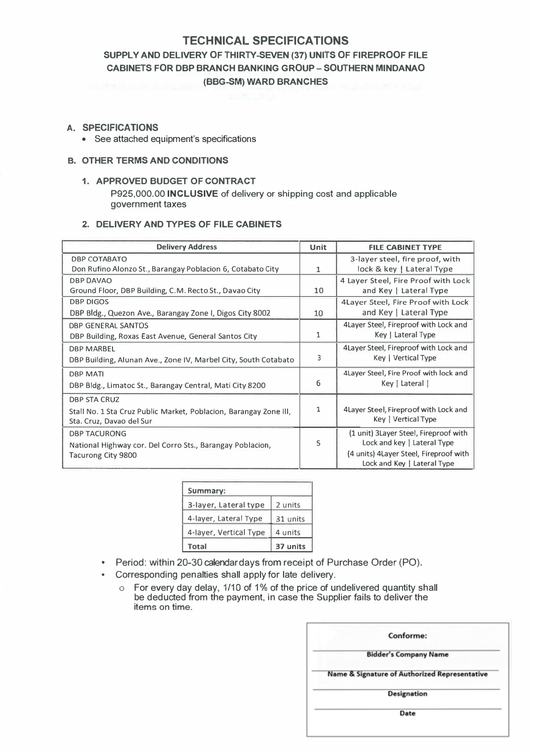# **TECHNICAL SPECIFICATIONS**

# **SUPPLY AND DELIVERY OF THIRTY-SEVEN (37) UNITS OF FIREPROOF FILE CABINETS FOR DBP BRANCH BANKING GROUP – SOUTHERN MINDANAO (BBG-SM) WARD BRANCHES**

#### **A. SPECIFICATIONS**

• See attached equipment's specifications

#### **B. OTHER TERMS AND CONDITIONS**

**1. APPROVED BUDGET OF CONTRACT** P925,000.00 **INCLUSIVE** of delivery or shipping cost and applicable government taxes

## **2. DELIVERY AND TYPES OF FILE CABINETS**

| <b>Delivery Address</b>                                           | <b>Unit</b> | <b>FILE CABINET TYPE</b>                |
|-------------------------------------------------------------------|-------------|-----------------------------------------|
| <b>DBP COTABATO</b>                                               |             | 3-layer steel, fire proof, with         |
| Don Rufino Alonzo St., Barangay Poblacion 6, Cotabato City        | 1           | lock & key   Lateral Type               |
| <b>DBP DAVAO</b>                                                  |             | 4 Layer Steel, Fire Proof with Lock     |
| Ground Floor, DBP Building, C.M. Recto St., Davao City            | 10          | and Key   Lateral Type                  |
| <b>DBP DIGOS</b>                                                  |             | 4Layer Steel, Fire Proof with Lock      |
| DBP Bldg., Quezon Ave., Barangay Zone I, Digos City 8002          | 10          | and Key   Lateral Type                  |
| DBP GENERAL SANTOS                                                |             | 4 Layer Steel, Fireproof with Lock and  |
| DBP Building, Roxas East Avenue, General Santos City              | 1           | Key   Lateral Type                      |
| <b>DBP MARBEL</b>                                                 |             | 4 Layer Steel, Fireproof with Lock and  |
| DBP Building, Alunan Ave., Zone IV, Marbel City, South Cotabato   | 3           | Key   Vertical Type                     |
| <b>DBP MATI</b>                                                   |             | 4Layer Steel, Fire Proof with lock and  |
| DBP Bldg., Limatoc St., Barangay Central, Mati City 8200          | 6           | Key   Lateral                           |
| <b>DBP STA CRUZ</b>                                               |             |                                         |
| Stall No. 1 Sta Cruz Public Market, Poblacion, Barangay Zone III, | 1           | 4 Layer Steel, Fireproof with Lock and  |
| Sta. Cruz, Davao del Sur                                          |             | Key   Vertical Type                     |
| <b>DBP TACURONG</b>                                               |             | (1 unit) 3 Layer Steel, Fireproof with  |
| National Highway cor. Del Corro Sts., Barangay Poblacion,         | 5           | Lock and key   Lateral Type             |
| Tacurong City 9800                                                |             | (4 units) 4 Layer Steel, Fireproof with |
|                                                                   |             | Lock and Key   Lateral Type             |

| Summary:               |          |
|------------------------|----------|
| 3-layer, Lateral type  | 2 units  |
| 4-layer, Lateral Type  | 31 units |
| 4-layer, Vertical Type | 4 units  |
| <b>Total</b>           | 37 units |

- Period: within 20-30 calendar days from receipt of Purchase Order (PO).
- Corresponding penalties shall apply for late delivery.
	- o For every day delay, 1/10 of 1% of the price of undelivered quantity shall be deducted from the payment, in case the Supplier fails to deliver the items on time.

| Conforme:                                     |
|-----------------------------------------------|
| <b>Bidder's Company Name</b>                  |
| Name & Signature of Authorized Representative |
| Designation                                   |
|                                               |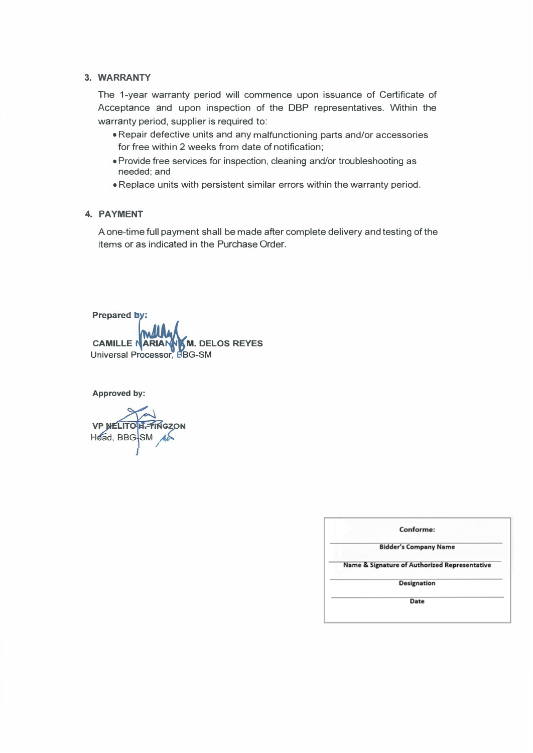#### **3. WARRANTY**

The 1-year warranty period will commence upon issuance of Certificate of Acceptance and upon inspection of the DBP representatives. Within the warranty period, supplier is required to:

- Repair defective units and any malfunctioning parts and/or accessories for free within 2 weeks from date of notification;
- Provide free services for inspection, cleaning and/or troubleshooting as needed;and
- Replace units with persistent similar errors within the warranty period.

#### **4. PAYMENT**

A one-time full payment shall be made after complete delivery and testing of the items or as indicated in the Purchase Order.

**Prepared b .** 

Prepared by:<br>
CAMILLE NARIAN M. DEI<br>
Universal Processor, BBG-SM **CAMILLE ARIA M. DELOS REYES**

**Approved by:** 

**VP NELITO H. FINGZON** Head, BBG-SM

| Conforme:                                     |  |
|-----------------------------------------------|--|
| <b>Bidder's Company Name</b>                  |  |
| Name & Signature of Authorized Representative |  |
| Designation                                   |  |
|                                               |  |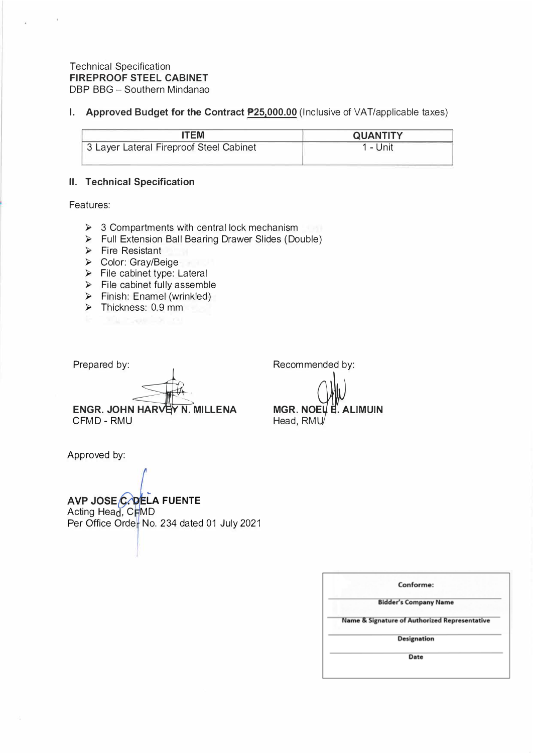## Technical Specification **FIREPROOF STEEL CABINET**  DBP BBG - Southern Mindanao

**I.** Approved Budget for the Contract **P25,000.00** (Inclusive of VAT/applicable taxes)

| TEM                                     | <b>QUANTITY</b> |
|-----------------------------------------|-----------------|
| 3 Layer Lateral Fireproof Steel Cabinet | - Unit          |

# **II. Technical Specification**

Features:

- ► 3 Compartments with central lock mechanism
- ► Full Extension Ball Bearing Drawer Slides (Double)
- ► Fire Resistant
- ► Color: Gray/Beige
- ► File cabinet type: Lateral
- ► File cabinet fully assemble
- ► Finish: Enamel (wrinkled)
- ► Thickness: 0.9 mm
- 

Prepared by:

Recommended by:

Head, RMU/

MGR. NOEU B. ALIMUIN

ENGR. JOHN HARVEY N. MILLENA CFMD-RMU

Approved by:

... **LA FUENTE**  Acting Head, CFMD Per Office Order No. 234 dated 01 July 2021

| Conforme:                                                |
|----------------------------------------------------------|
| <b>Bidder's Company Name</b>                             |
| <b>Name &amp; Signature of Authorized Representative</b> |
| Designation                                              |
| Date                                                     |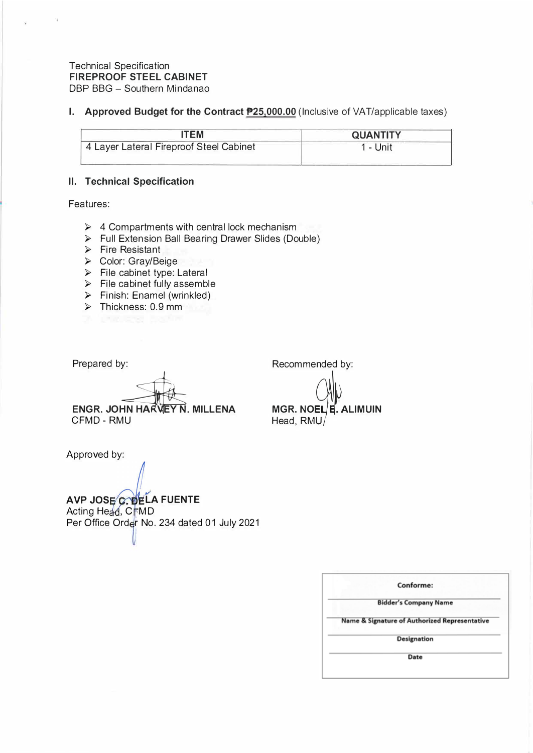## Technical Specification **FIREPROOF STEEL CABINET**  DBP BBG - Southern Mindanao

# **I.** Approved Budget for the Contract **P25,000.00** (Inclusive of VAT/applicable taxes)

| TEM                                     | <b>QUANTITY</b> |
|-----------------------------------------|-----------------|
| 4 Layer Lateral Fireproof Steel Cabinet | – Unit          |

# **II. Technical Specification**

Features:

- ► 4 Compartments with central lock mechanism
- ► Full Extension Ball Bearing Drawer Slides (Double)
- ► Fire Resistant
- ► Color: Gray/Beige
- ► File cabinet type: Lateral
- ► File cabinet fully assemble
- ► Finish: Enamel (wrinkled)
- ► Thickness: 0.9 mm
- 

Prepared by: Recommended by:

**ENGR. JOHN HARVEY N. MILLENA** CFMD- RMU

Approved by:

**AVP JOSE C. DELA FUENTE** Acting Head, CFMD Per Office Order No. 234 dated 01 July 2021

| Conforme:                                                |
|----------------------------------------------------------|
| <b>Bidder's Company Name</b>                             |
| <b>Name &amp; Signature of Authorized Representative</b> |
| Designation                                              |
| Date                                                     |

**MGR. NOEL E. ALIMUIN** Head,  $RMU/$